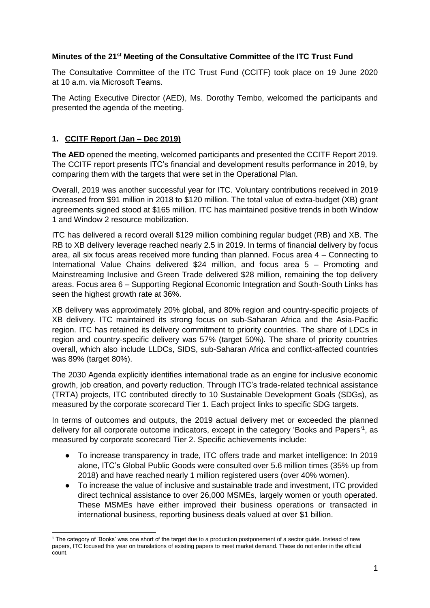# **Minutes of the 21st Meeting of the Consultative Committee of the ITC Trust Fund**

The Consultative Committee of the ITC Trust Fund (CCITF) took place on 19 June 2020 at 10 a.m. via Microsoft Teams.

The Acting Executive Director (AED), Ms. Dorothy Tembo, welcomed the participants and presented the agenda of the meeting.

# **1. CCITF Report (Jan – Dec 2019)**

**The AED** opened the meeting, welcomed participants and presented the CCITF Report 2019. The CCITF report presents ITC's financial and development results performance in 2019, by comparing them with the targets that were set in the Operational Plan.

Overall, 2019 was another successful year for ITC. Voluntary contributions received in 2019 increased from \$91 million in 2018 to \$120 million. The total value of extra-budget (XB) grant agreements signed stood at \$165 million. ITC has maintained positive trends in both Window 1 and Window 2 resource mobilization.

ITC has delivered a record overall \$129 million combining regular budget (RB) and XB. The RB to XB delivery leverage reached nearly 2.5 in 2019. In terms of financial delivery by focus area, all six focus areas received more funding than planned. Focus area 4 – Connecting to International Value Chains delivered \$24 million, and focus area 5 – Promoting and Mainstreaming Inclusive and Green Trade delivered \$28 million, remaining the top delivery areas. Focus area 6 – Supporting Regional Economic Integration and South-South Links has seen the highest growth rate at 36%.

XB delivery was approximately 20% global, and 80% region and country-specific projects of XB delivery. ITC maintained its strong focus on sub-Saharan Africa and the Asia-Pacific region. ITC has retained its delivery commitment to priority countries. The share of LDCs in region and country-specific delivery was 57% (target 50%). The share of priority countries overall, which also include LLDCs, SIDS, sub-Saharan Africa and conflict-affected countries was 89% (target 80%).

The 2030 Agenda explicitly identifies international trade as an engine for inclusive economic growth, job creation, and poverty reduction. Through ITC's trade-related technical assistance (TRTA) projects, ITC contributed directly to 10 Sustainable Development Goals (SDGs), as measured by the corporate scorecard Tier 1. Each project links to specific SDG targets.

In terms of outcomes and outputs, the 2019 actual delivery met or exceeded the planned delivery for all corporate outcome indicators, except in the category 'Books and Papers'<sup>1</sup>, as measured by corporate scorecard Tier 2. Specific achievements include:

- To increase transparency in trade, ITC offers trade and market intelligence: In 2019 alone, ITC's Global Public Goods were consulted over 5.6 million times (35% up from 2018) and have reached nearly 1 million registered users (over 40% women).
- To increase the value of inclusive and sustainable trade and investment, ITC provided direct technical assistance to over 26,000 MSMEs, largely women or youth operated. These MSMEs have either improved their business operations or transacted in international business, reporting business deals valued at over \$1 billion.

**<sup>.</sup>** <sup>1</sup> The category of 'Books' was one short of the target due to a production postponement of a sector guide. Instead of new papers, ITC focused this year on translations of existing papers to meet market demand. These do not enter in the official count.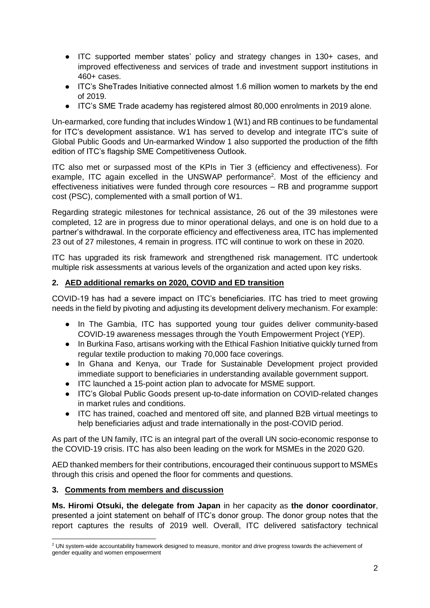- ITC supported member states' policy and strategy changes in 130+ cases, and improved effectiveness and services of trade and investment support institutions in 460+ cases.
- ITC's SheTrades Initiative connected almost 1.6 million women to markets by the end of 2019.
- ITC's SME Trade academy has registered almost 80,000 enrolments in 2019 alone.

Un-earmarked, core funding that includes Window 1 (W1) and RB continues to be fundamental for ITC's development assistance. W1 has served to develop and integrate ITC's suite of Global Public Goods and Un-earmarked Window 1 also supported the production of the fifth edition of ITC's flagship SME Competitiveness Outlook.

ITC also met or surpassed most of the KPIs in Tier 3 (efficiency and effectiveness). For example, ITC again excelled in the UNSWAP performance<sup>2</sup>. Most of the efficiency and effectiveness initiatives were funded through core resources – RB and programme support cost (PSC), complemented with a small portion of W1.

Regarding strategic milestones for technical assistance, 26 out of the 39 milestones were completed, 12 are in progress due to minor operational delays, and one is on hold due to a partner's withdrawal. In the corporate efficiency and effectiveness area, ITC has implemented 23 out of 27 milestones, 4 remain in progress. ITC will continue to work on these in 2020.

ITC has upgraded its risk framework and strengthened risk management. ITC undertook multiple risk assessments at various levels of the organization and acted upon key risks.

### **2. AED additional remarks on 2020, COVID and ED transition**

COVID-19 has had a severe impact on ITC's beneficiaries. ITC has tried to meet growing needs in the field by pivoting and adjusting its development delivery mechanism. For example:

- In The Gambia, ITC has supported young tour guides deliver community-based COVID-19 awareness messages through the Youth Empowerment Project (YEP).
- In Burkina Faso, artisans working with the Ethical Fashion Initiative quickly turned from regular textile production to making 70,000 face coverings.
- In Ghana and Kenya, our Trade for Sustainable Development project provided immediate support to beneficiaries in understanding available government support.
- ITC launched a 15-point action plan to advocate for MSME support.
- ITC's Global Public Goods present up-to-date information on COVID-related changes in market rules and conditions.
- ITC has trained, coached and mentored off site, and planned B2B virtual meetings to help beneficiaries adjust and trade internationally in the post-COVID period.

As part of the UN family, ITC is an integral part of the overall UN socio-economic response to the COVID-19 crisis. ITC has also been leading on the work for MSMEs in the 2020 G20.

AED thanked members for their contributions, encouraged their continuous support to MSMEs through this crisis and opened the floor for comments and questions.

#### **3. Comments from members and discussion**

**.** 

**Ms. Hiromi Otsuki, the delegate from Japan** in her capacity as **the donor coordinator**, presented a joint statement on behalf of ITC's donor group. The donor group notes that the report captures the results of 2019 well. Overall, ITC delivered satisfactory technical

 $2$  UN system-wide accountability framework designed to measure, monitor and drive progress towards the achievement of gender equality and women empowerment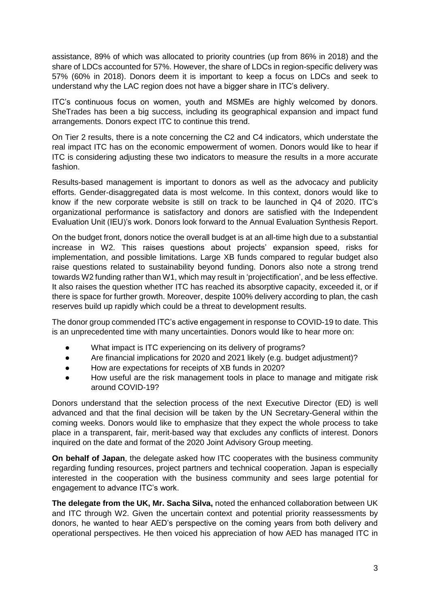assistance, 89% of which was allocated to priority countries (up from 86% in 2018) and the share of LDCs accounted for 57%. However, the share of LDCs in region-specific delivery was 57% (60% in 2018). Donors deem it is important to keep a focus on LDCs and seek to understand why the LAC region does not have a bigger share in ITC's delivery.

ITC's continuous focus on women, youth and MSMEs are highly welcomed by donors. SheTrades has been a big success, including its geographical expansion and impact fund arrangements. Donors expect ITC to continue this trend.

On Tier 2 results, there is a note concerning the C2 and C4 indicators, which understate the real impact ITC has on the economic empowerment of women. Donors would like to hear if ITC is considering adjusting these two indicators to measure the results in a more accurate fashion.

Results-based management is important to donors as well as the advocacy and publicity efforts. Gender-disaggregated data is most welcome. In this context, donors would like to know if the new corporate website is still on track to be launched in Q4 of 2020. ITC's organizational performance is satisfactory and donors are satisfied with the Independent Evaluation Unit (IEU)'s work. Donors look forward to the Annual Evaluation Synthesis Report.

On the budget front, donors notice the overall budget is at an all-time high due to a substantial increase in W2. This raises questions about projects' expansion speed, risks for implementation, and possible limitations. Large XB funds compared to regular budget also raise questions related to sustainability beyond funding. Donors also note a strong trend towards W2 funding rather than W1, which may result in 'projectification', and be less effective. It also raises the question whether ITC has reached its absorptive capacity, exceeded it, or if there is space for further growth. Moreover, despite 100% delivery according to plan, the cash reserves build up rapidly which could be a threat to development results.

The donor group commended ITC's active engagement in response to COVID-19 to date. This is an unprecedented time with many uncertainties. Donors would like to hear more on:

- What impact is ITC experiencing on its delivery of programs?
- Are financial implications for 2020 and 2021 likely (e.g. budget adjustment)?
- How are expectations for receipts of XB funds in 2020?
- How useful are the risk management tools in place to manage and mitigate risk around COVID-19?

Donors understand that the selection process of the next Executive Director (ED) is well advanced and that the final decision will be taken by the UN Secretary-General within the coming weeks. Donors would like to emphasize that they expect the whole process to take place in a transparent, fair, merit-based way that excludes any conflicts of interest. Donors inquired on the date and format of the 2020 Joint Advisory Group meeting.

**On behalf of Japan**, the delegate asked how ITC cooperates with the business community regarding funding resources, project partners and technical cooperation. Japan is especially interested in the cooperation with the business community and sees large potential for engagement to advance ITC's work.

**The delegate from the UK, Mr. Sacha Silva,** noted the enhanced collaboration between UK and ITC through W2. Given the uncertain context and potential priority reassessments by donors, he wanted to hear AED's perspective on the coming years from both delivery and operational perspectives. He then voiced his appreciation of how AED has managed ITC in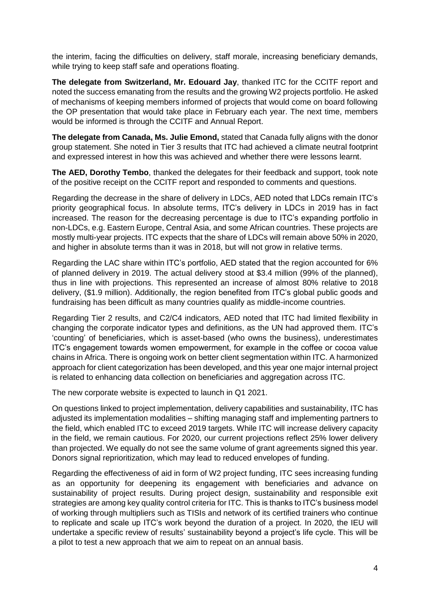the interim, facing the difficulties on delivery, staff morale, increasing beneficiary demands, while trying to keep staff safe and operations floating.

**The delegate from Switzerland, Mr. Edouard Jay**, thanked ITC for the CCITF report and noted the success emanating from the results and the growing W2 projects portfolio. He asked of mechanisms of keeping members informed of projects that would come on board following the OP presentation that would take place in February each year. The next time, members would be informed is through the CCITF and Annual Report.

**The delegate from Canada, Ms. Julie Emond,** stated that Canada fully aligns with the donor group statement. She noted in Tier 3 results that ITC had achieved a climate neutral footprint and expressed interest in how this was achieved and whether there were lessons learnt.

**The AED, Dorothy Tembo**, thanked the delegates for their feedback and support, took note of the positive receipt on the CCITF report and responded to comments and questions.

Regarding the decrease in the share of delivery in LDCs, AED noted that LDCs remain ITC's priority geographical focus. In absolute terms, ITC's delivery in LDCs in 2019 has in fact increased. The reason for the decreasing percentage is due to ITC's expanding portfolio in non-LDCs, e.g. Eastern Europe, Central Asia, and some African countries. These projects are mostly multi-year projects. ITC expects that the share of LDCs will remain above 50% in 2020, and higher in absolute terms than it was in 2018, but will not grow in relative terms.

Regarding the LAC share within ITC's portfolio, AED stated that the region accounted for 6% of planned delivery in 2019. The actual delivery stood at \$3.4 million (99% of the planned), thus in line with projections. This represented an increase of almost 80% relative to 2018 delivery, (\$1.9 million). Additionally, the region benefited from ITC's global public goods and fundraising has been difficult as many countries qualify as middle-income countries.

Regarding Tier 2 results, and C2/C4 indicators, AED noted that ITC had limited flexibility in changing the corporate indicator types and definitions, as the UN had approved them. ITC's 'counting' of beneficiaries, which is asset-based (who owns the business), underestimates ITC's engagement towards women empowerment, for example in the coffee or cocoa value chains in Africa. There is ongoing work on better client segmentation within ITC. A harmonized approach for client categorization has been developed, and this year one major internal project is related to enhancing data collection on beneficiaries and aggregation across ITC.

The new corporate website is expected to launch in Q1 2021.

On questions linked to project implementation, delivery capabilities and sustainability, ITC has adjusted its implementation modalities – shifting managing staff and implementing partners to the field, which enabled ITC to exceed 2019 targets. While ITC will increase delivery capacity in the field, we remain cautious. For 2020, our current projections reflect 25% lower delivery than projected. We equally do not see the same volume of grant agreements signed this year. Donors signal reprioritization, which may lead to reduced envelopes of funding.

Regarding the effectiveness of aid in form of W2 project funding, ITC sees increasing funding as an opportunity for deepening its engagement with beneficiaries and advance on sustainability of project results. During project design, sustainability and responsible exit strategies are among key quality control criteria for ITC. This is thanks to ITC's business model of working through multipliers such as TISIs and network of its certified trainers who continue to replicate and scale up ITC's work beyond the duration of a project. In 2020, the IEU will undertake a specific review of results' sustainability beyond a project's life cycle. This will be a pilot to test a new approach that we aim to repeat on an annual basis.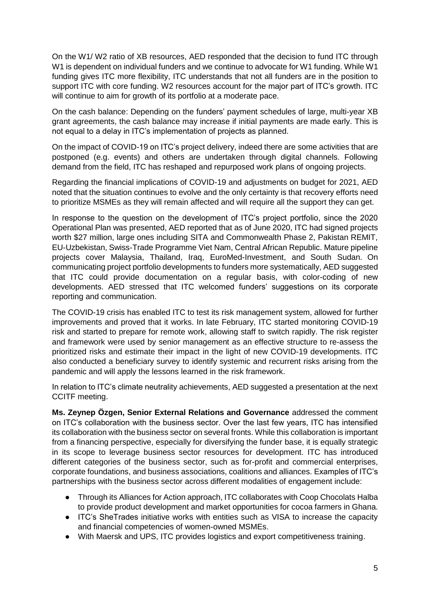On the W1/ W2 ratio of XB resources, AED responded that the decision to fund ITC through W1 is dependent on individual funders and we continue to advocate for W1 funding. While W1 funding gives ITC more flexibility, ITC understands that not all funders are in the position to support ITC with core funding. W2 resources account for the major part of ITC's growth. ITC will continue to aim for growth of its portfolio at a moderate pace.

On the cash balance: Depending on the funders' payment schedules of large, multi-year XB grant agreements, the cash balance may increase if initial payments are made early. This is not equal to a delay in ITC's implementation of projects as planned.

On the impact of COVID-19 on ITC's project delivery, indeed there are some activities that are postponed (e.g. events) and others are undertaken through digital channels. Following demand from the field, ITC has reshaped and repurposed work plans of ongoing projects.

Regarding the financial implications of COVID-19 and adjustments on budget for 2021, AED noted that the situation continues to evolve and the only certainty is that recovery efforts need to prioritize MSMEs as they will remain affected and will require all the support they can get.

In response to the question on the development of ITC's project portfolio, since the 2020 Operational Plan was presented, AED reported that as of June 2020, ITC had signed projects worth \$27 million, large ones including SITA and Commonwealth Phase 2, Pakistan REMIT, EU-Uzbekistan, Swiss-Trade Programme Viet Nam, Central African Republic. Mature pipeline projects cover Malaysia, Thailand, Iraq, EuroMed-Investment, and South Sudan. On communicating project portfolio developments to funders more systematically, AED suggested that ITC could provide documentation on a regular basis, with color-coding of new developments. AED stressed that ITC welcomed funders' suggestions on its corporate reporting and communication.

The COVID-19 crisis has enabled ITC to test its risk management system, allowed for further improvements and proved that it works. In late February, ITC started monitoring COVID-19 risk and started to prepare for remote work, allowing staff to switch rapidly. The risk register and framework were used by senior management as an effective structure to re-assess the prioritized risks and estimate their impact in the light of new COVID-19 developments. ITC also conducted a beneficiary survey to identify systemic and recurrent risks arising from the pandemic and will apply the lessons learned in the risk framework.

In relation to ITC's climate neutrality achievements, AED suggested a presentation at the next CCITF meeting.

**Ms. Zeynep Özgen, Senior External Relations and Governance** addressed the comment on ITC's collaboration with the business sector. Over the last few years, ITC has intensified its collaboration with the business sector on several fronts. While this collaboration is important from a financing perspective, especially for diversifying the funder base, it is equally strategic in its scope to leverage business sector resources for development. ITC has introduced different categories of the business sector, such as for-profit and commercial enterprises, corporate foundations, and business associations, coalitions and alliances. Examples of ITC's partnerships with the business sector across different modalities of engagement include:

- Through its Alliances for Action approach, ITC collaborates with Coop Chocolats Halba to provide product development and market opportunities for cocoa farmers in Ghana.
- ITC's SheTrades initiative works with entities such as VISA to increase the capacity and financial competencies of women-owned MSMEs.
- With Maersk and UPS, ITC provides logistics and export competitiveness training.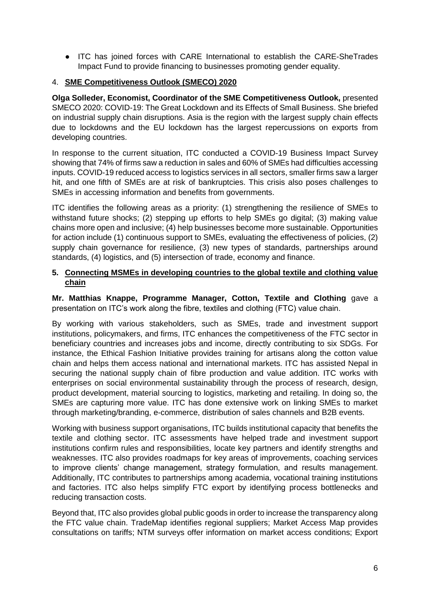● ITC has joined forces with CARE International to establish the CARE-SheTrades Impact Fund to provide financing to businesses promoting gender equality.

# 4. **SME Competitiveness Outlook (SMECO) 2020**

**Olga Solleder, Economist, Coordinator of the SME Competitiveness Outlook,** presented SMECO 2020: COVID-19: The Great Lockdown and its Effects of Small Business. She briefed on industrial supply chain disruptions. Asia is the region with the largest supply chain effects due to lockdowns and the EU lockdown has the largest repercussions on exports from developing countries.

In response to the current situation, ITC conducted a COVID-19 Business Impact Survey showing that 74% of firms saw a reduction in sales and 60% of SMEs had difficulties accessing inputs. COVID-19 reduced access to logistics services in all sectors, smaller firms saw a larger hit, and one fifth of SMEs are at risk of bankruptcies. This crisis also poses challenges to SMEs in accessing information and benefits from governments.

ITC identifies the following areas as a priority: (1) strengthening the resilience of SMEs to withstand future shocks; (2) stepping up efforts to help SMEs go digital; (3) making value chains more open and inclusive; (4) help businesses become more sustainable. Opportunities for action include (1) continuous support to SMEs, evaluating the effectiveness of policies, (2) supply chain governance for resilience, (3) new types of standards, partnerships around standards, (4) logistics, and (5) intersection of trade, economy and finance.

### **5. Connecting MSMEs in developing countries to the global textile and clothing value chain**

**Mr. Matthias Knappe, Programme Manager, Cotton, Textile and Clothing** gave a presentation on ITC's work along the fibre, textiles and clothing (FTC) value chain.

By working with various stakeholders, such as SMEs, trade and investment support institutions, policymakers, and firms, ITC enhances the competitiveness of the FTC sector in beneficiary countries and increases jobs and income, directly contributing to six SDGs. For instance, the Ethical Fashion Initiative provides training for artisans along the cotton value chain and helps them access national and international markets. ITC has assisted Nepal in securing the national supply chain of fibre production and value addition. ITC works with enterprises on social environmental sustainability through the process of research, design, product development, material sourcing to logistics, marketing and retailing. In doing so, the SMEs are capturing more value. ITC has done extensive work on linking SMEs to market through marketing/branding, e-commerce, distribution of sales channels and B2B events.

Working with business support organisations, ITC builds institutional capacity that benefits the textile and clothing sector. ITC assessments have helped trade and investment support institutions confirm rules and responsibilities, locate key partners and identify strengths and weaknesses. ITC also provides roadmaps for key areas of improvements, coaching services to improve clients' change management, strategy formulation, and results management. Additionally, ITC contributes to partnerships among academia, vocational training institutions and factories. ITC also helps simplify FTC export by identifying process bottlenecks and reducing transaction costs.

Beyond that, ITC also provides global public goods in order to increase the transparency along the FTC value chain. TradeMap identifies regional suppliers; Market Access Map provides consultations on tariffs; NTM surveys offer information on market access conditions; Export